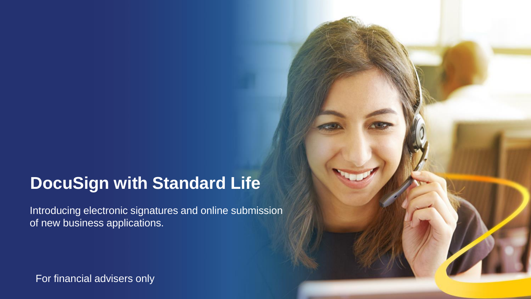# **DocuSign with Standard Life DocuSign with Standard Life**

Introducing electronic signatures and online submission of new business applications.

For financial advisers only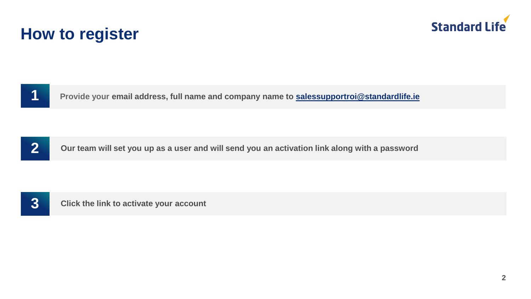

# **How to register**



**Provide your email address, full name and company name to [salessupportroi@standardlife.ie](mailto:salesupportroi@standardlife.ie)**



**Our team will set you up as a user and will send you an activation link along with a password**



**Click the link to activate your account**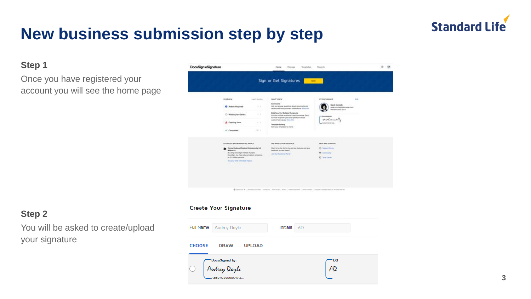# **Standard Life**

# **New business submission step by step**

# **Step 1**

Once you have registered your account you will see the home page



# **Step 2**

You will be asked to create/upload your signature

#### **Create Your Signature**

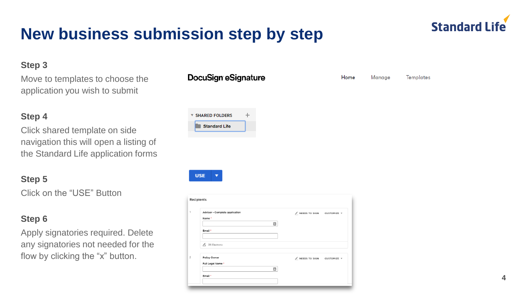# **Step 3**

Move to templates to choose the application you wish to submit

# **Step 4**

Click shared template on side navigation this will open a listing of the Standard Life application forms

# **Step 5**

Click on the "USE" Button

# **Step 6**

Apply signatories required. Delete any signatories not needed for the flow by clicking the "x" button.

## DocuSign eSignature



**USE** 



Home

Manage

**Templates** 

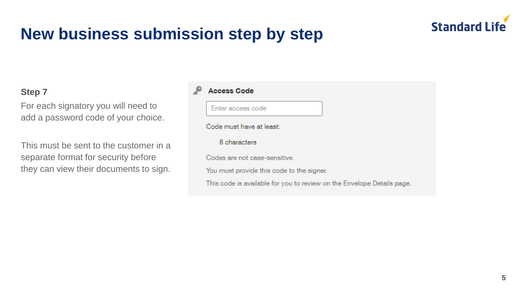

## **Step 7**

For each signatory you will need to add a password code of your choice.

This must be sent to the customer in a separate format for security before they can view their documents to sign.

#### **Access Code**

Enter access code

Code must have at least:

8 characters

Codes are not case-sensitive.

You must provide this code to the signer.

This code is available for you to review on the Envelope Details page.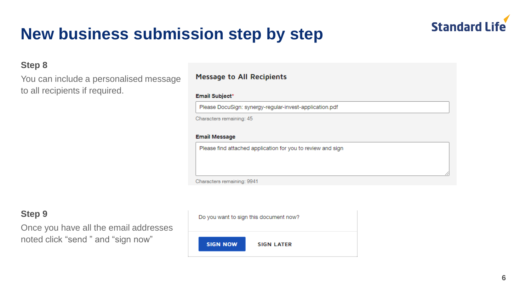

## **Step 8**

You can include a personalised message to all recipients if required.

### **Message to All Recipients**

#### Email Subject\*

Please DocuSign: synergy-regular-invest-application.pdf

Characters remaining: 45

#### **Email Message**

Please find attached application for you to review and sign

Characters remaining: 9941

# **Step 9**

Once you have all the email addresses noted click "send " and "sign now"

Do you want to sign this document now?

**SIGN NOW** 

**SIGN LATER**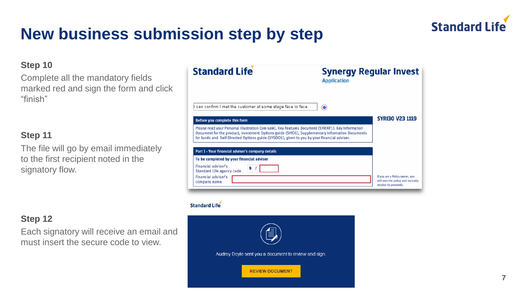

## **Step 10**

Complete all the mandatory fields marked red and sign the form and click "finish"

## **Step 11**

The file will go by email immediately to the first recipient noted in the signatory flow.

# **Step 12**

Each signatory will receive an email and must insert the secure code to view.

| <b>Standard Life</b>                                                                                                                                                                                                                                                                                  | <b>Synergy Regular Invest</b><br><b>Application</b> |                        |
|-------------------------------------------------------------------------------------------------------------------------------------------------------------------------------------------------------------------------------------------------------------------------------------------------------|-----------------------------------------------------|------------------------|
| I can confirm I met the customer at some stage face to face.                                                                                                                                                                                                                                          | ⋒                                                   |                        |
| Before you complete this form                                                                                                                                                                                                                                                                         |                                                     | <b>SYRI30 V23 1119</b> |
|                                                                                                                                                                                                                                                                                                       |                                                     |                        |
| Please read your Personal Illustration (pre-sale), Key Features document (SYRIKF1), Key Information<br>Document for the product, Investment Options guide (SYIO1), Supplementary Information Documents<br>for funds and Self-Directed Options guide (SYSDO1), given to you by your financial adviser. |                                                     |                        |
| Part 1 - Your financial adviser's company details                                                                                                                                                                                                                                                     |                                                     |                        |
| To be completed by your financial adviser                                                                                                                                                                                                                                                             |                                                     |                        |
| Financial adviser's<br>9<br><b>Standard Life agency code</b>                                                                                                                                                                                                                                          |                                                     |                        |

#### **Standard Life**

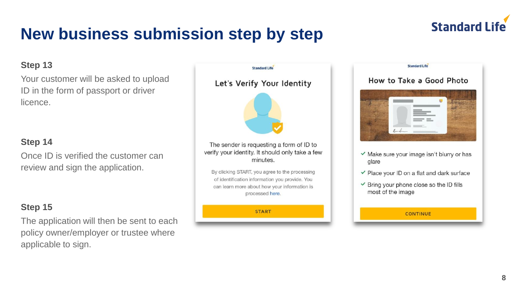

## **Step 13**

Your customer will be asked to upload ID in the form of passport or driver licence.

## **Step 14**

Once ID is verified the customer can review and sign the application.

# **Step 15**

The application will then be sent to each policy owner/employer or trustee where applicable to sign.





#### **CONTINUE**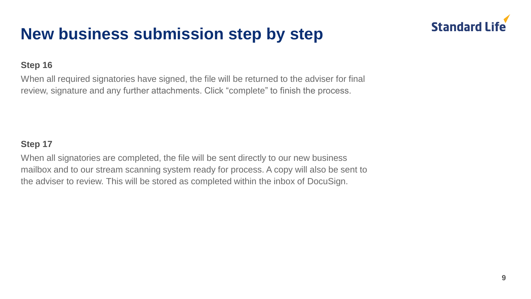

## **Step 16**

When all required signatories have signed, the file will be returned to the adviser for final review, signature and any further attachments. Click "complete" to finish the process.

## **Step 17**

When all signatories are completed, the file will be sent directly to our new business mailbox and to our stream scanning system ready for process. A copy will also be sent to the adviser to review. This will be stored as completed within the inbox of DocuSign.